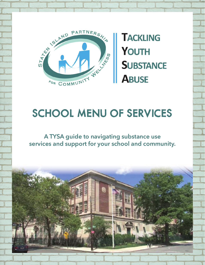

**TACKLING** YOUTH **SUBSTANCE ABUSE** 

# SCHOOL MENU OF SERVICES

**A TYSA guide to navigating substance use services and support for your school and community.**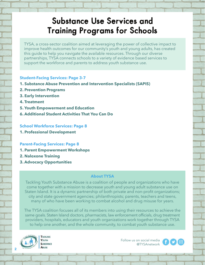### Substance Use Services and Training Programs for Schools

TYSA, a cross-sector coalition aimed at leveraging the power of collective impact to improve health outcomes for our community's youth and young adults, has created this guide to help you navigate the available resources. Through our diverse partnerships, TYSA connects schools to a variety of evidence based services to support the workforce and parents to address youth substance use.

#### **Student-Facing Services: Page 3-7**

- **1. Substance Abuse Prevention and Intervention Specialists (SAPIS)**
- **2. Prevention Programs**
- **3. Early Intervention**
- **4. Treatment**
- **5. Youth Empowerment and Education**
- **6. Additional Student Activities That You Can Do**

#### **School Workforce Services: Page 8**

**1. Professional Development**

#### **Parent-Facing Services: Page 8**

- **1. Parent Empowerment Workshops**
- **2. Naloxone Training**
- **3. Advocacy Opportunities**

#### **About TYSA**

Tackling Youth Substance Abuse is a coalition of people and organizations who have come together with a mission to decrease youth and young adult substance use on Staten Island. It is a dynamic partnership of both private and non-profit organizations; city and state government agencies; philanthropists; parents, teachers and teens, many of who have been working to combat alcohol and drug misuse for years.

The TYSA coalition focuses all of its members into using their resources to achieve the same goals. Staten Island doctors, pharmacists, law enforcement officials, drug treatment providers, hospitals, educators and youth organizations work together through TYSA to help one another, and the whole community, to combat youth substance use.



Follow us on social media @TYSAnetwork



**2**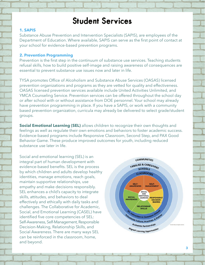### Student Services

#### **1. SAPIS**

Substance Abuse Prevention and Intervention Specialists (SAPIS), are employees of the Department of Education. Where available, SAPIS can serve as the first point of contact at your school for evidence-based prevention programs.

#### **2. Prevention Programming**

Prevention is the first step in the continuum of substance use services. Teaching students refusal skills, how to build positive self-image and raising awareness of consequences are essential to prevent substance use issues now and later in life.

TYSA promotes Office of Alcoholism and Substance Abuse Services (OASAS) licensed prevention organizations and programs as they are vetted for quality and effectiveness. OASAS licensed prevention services available include United Activities Unlimited, and YMCA Counseling Service. Prevention services can be offered throughout the school day or after school with or without assistance from DOE personnel. Your school may already have prevention programming in place. If you have a SAPIS, or work with a community based prevention organization, curricula may already be delivered to select grade/student groups.

**Social Emotional Learning (SEL)** allows children to recognize their own thoughts and feelings as well as regulate their own emotions and behaviors to foster academic success. Evidence-based programs include Responsive Classroom, Second Step, and PAX Good Behavior Game. These produce improved outcomes for youth, including reduced substance use later in life.

Social and emotional learning (SEL) is an integral part of human development with evidence-based benefits. SEL is the process by which children and adults develop healthy identities, manage emotions, reach goals, maintain supportive relationships, use empathy and make decisions responsibly. SEL enhances a child's capacity to integrate skills, attitudes, and behaviors to deal effectively and ethically with daily tasks and challenges. The Collaborative for Academic, Social, and Emotional Learning (CASEL) have identified five core competencies of SEL: Self-Awareness, Self-Management, Responsible Decision-Making, Relationship Skills, and Social Awareness. There are many ways SEL can be reinforced in the classroom, home, and beyond.

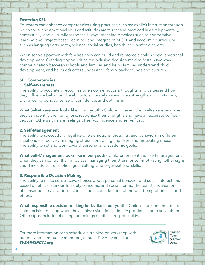#### **Fostering SEL**

Educators can enhance competencies using practices such as: explicit instruction through which social and emotional skills and attitudes are taught and practiced in developmentally, contextually, and culturally responsive ways; teaching practices such as cooperative learning and project-based learning; and integration of SEL and academic curriculum such as language arts, math, science, social studies, health, and performing arts.

When schools partner with families, they can build and reinforce a child's social emotional development. Creating opportunities for inclusive decision-making fosters two-way communication between schools and families and helps families understand child development, and helps educators understand family backgrounds and cultures.

#### **SEL Competencies 1. Self-Awareness**

The ability to accurately recognize one's own emotions, thoughts, and values and how they influence behavior. The ability to accurately assess one's strengths and limitations, with a well-grounded sense of confidence, and optimism.

**What Self-Awareness looks like in our youth** - Children present their self-awareness when they can identify their emotions, recognize their strengths and have an accurate self-perception. Others signs are feelings of self-confidence and self-efficacy.

#### **2. Self-Management**

The ability to successfully regulate one's emotions, thoughts, and behaviors in different situations — effectively managing stress, controlling impulses, and motivating oneself. The ability to set and work toward personal and academic goals.

**What Self-Management looks like in our youth -** Children present their self-management when they can control their impulses, managing their stress, or self-motivating. Other signs could include self-discipline, goal-setting, and organizational skills.

### **3. Responsible Decision Making**

The ability to make constructive choices about personal behavior and social interactions based on ethical standards, safety concerns, and social norms. The realistic evaluation of consequences of various actions, and a consideration of the well-being of oneself and others.

**What responsible decision-making looks like in our youth -** Children present their responsible decision-making when they analyze situations, identify problems and resolve them. Other signs include reflecting, or feelings of ethical responsibility.

For more information or to schedule a training or workshop with parents and community members, contact TYSA by email at *TYSA@SIPCW.org*



**TACKLING** YOUTH *<u>CHIRCTANCE</u>*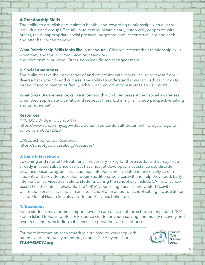#### **4. Relationship Skills**

The ability to establish and maintain healthy and rewarding relationships with diverse individuals and groups. The ability to communicate clearly, listen well, cooperate with others, resist inappropriate social pressure, negotiate conflict constructively, and seek and offer help when needed.

**What Relationship Skills looks like in our youth -** Children present their relationship skills when they engage in communication, teamwork, and relationship-building. Other signs include social engagement.

#### **5. Social Awareness**

The ability to take the perspective of and empathize with others, including those from diverse backgrounds and cultures. The ability to understand social and ethical norms for behavior and to recognize family, school, and community resources and supports.

What Social Awareness looks like in our youth - Children present their social awareness when they appreciate diversity, and respect others. Other signs include perspective-taking and using empathy.

#### **Resources**

NYC DOE Bridge To School Plan https://www.schools.nyc.gov/docs/default-source/default-document-library/bridge-toschool-plan-08272020

CASEL School Guide Resources https://schoolguide.casel.org/resources/

#### **3. Early Intervention**

Screening and referral to treatment, if necessary, is key for those students that may have already initiated substance use but have not yet developed a substance use disorder. Evidence based programs, such as Teen Intervene, are available to universally screen students and provide those that require additional services with the help they need. Early intervention services available to students during the school day include SAPIS, or school based health center, if available, the YMCA Counseling Service, and United Activities Unlimited. Services available in an after school or in an out-of-school setting include Staten Island Mental Health Society and United Activities Unlimited.

### **4. Treatment**

Some students may require a higher level of care outside of the school setting. See TYSA's Staten Island Behavioral Health Resource Guide for youth-serving community recovery and resource centers, including substance use providers, and clubhouses.

For more information or to schedule a training or workshop with parents and community members, contact TYSA by email at *TYSA@SIPCW.org*



**TACKLING** YOUTH **SUBSTANCE** 

**5**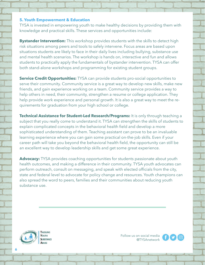#### **5. Youth Empowerment & Education**

TYSA is invested in empowering youth to make healthy decisions by providing them with knowledge and practical skills. These services and opportunities include:

**Bystander Intervention:** This workshop provides students with the skills to detect high risk situations among peers and tools to safely intervene. Focus areas are based upon situations students are likely to face in their daily lives including bullying, substance use and mental health scenarios. The workshop is hands on, interactive and fun and allows students to practically apply the fundamentals of bystander intervention. TYSA can offer both stand-alone workshops and programming for existing student groups.

**Service Credit Opportunities:** TYSA can provide students pro-social opportunities to serve their community. Community service is a great way to develop new skills, make new friends, and gain experience working on a team. Community service provides a way to help others in need, their community, strengthen a resume or college application. They help provide work experience and personal growth. It is also a great way to meet the requirements for graduation from your high school or college.

**Technical Assistance for Student-Led Research/Programs:** It is only through teaching a subject that you really come to understand it. TYSA can strengthen the skills of students to explain complicated concepts in the behavioral health field and develop a more sophisticated understanding of them. Teaching assistant can prove to be an invaluable learning experience where you can gain some practical on-the-job skills. Even if your career path will take you beyond the behavioral health field, the opportunity can still be an excellent way to develop leadership skills and get some great experience.

**Advocacy:** TYSA provides coaching opportunities for students passionate about youth health outcomes, and making a difference in their community. TYSA youth advocates can perform outreach, consult on messaging, and speak with elected officials from the city, state and federal level to advocate for policy change and resources. Youth champions can also spread the word to peers, families and their communities about reducing youth substance use.



Follow us on social media @TYSAnetwork

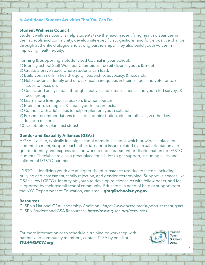#### **6. Additional Student Activities That You Can Do**

#### **Student Wellness Council**

Student wellness councils help students take the lead in identifying health disparities in their schools and community, develop site-specific suggestions, and forge positive change through authentic dialogue and strong partnerships. They also build youth voices in improving health equity.

Forming & Supporting a Student-Led Council in your School:

- 1) Identify School Staff Wellness Champions, recruit diverse youth, & meet!
- 2) Create a brave space where students can lead.
- 3) Build youth skills in health equity, leadership, advocacy, & research.
- 4) Help students identify and unpack health inequities in their school, and vote for top issues to focus on.
- 5) Collect and analyze data through creative school assessments, and youth-led surveys & focus groups.
- 6) Learn more from guest speakers & other sources.
- 7) Brainstorm, strategize, & create youth-led projects.
- 8) Connect with adult allies to help implement youth solutions.
- 9) Present recommendations to school administration, elected officials, & other key decision makers.
- 10) Celebrate & plan next steps!

#### **Gender and Sexuality Alliances (GSAs)**

A GSA is a club, typically in a high school or middle school, which provides a place for students to meet, support each other, talk about issues related to sexual orientation and gender identity and expression, and work to end harassment or discrimination for LGBTQ students. Theclubs are also a great place for all kids to get support, including allies and children of LGBTQ parents.

LGBTQ+ identifying youth are at higher risk of substance use due to factors including bullying and harassment, family rejection, and gender stereotyping. Supportive spaces like GSAs allow LGBTQ+ identifying youth to develop relationships with fellow peers, and feel supported by their overall school community. Educators in need of help or support from the NYC Department of Education, can email **lgbtq@schools.nyc.gov.**

#### **Resources**

GLSEN's National GSA Leadership Coalition - *https://www.glsen.org/support-student-gsas* GLSEN Student and GSA Resources - *https://www.glsen.org/resources*

For more information or to schedule a training or workshop with parents and community members, contact TYSA by email at *TYSA@SIPCW.org*

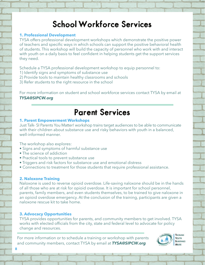### School Workforce Services

#### **1. Professional Development**

TYSA offers professional development workshops which demonstrate the positive power of teachers and specific ways in which schools can support the positive behavioral health of students. This workshop will build the capacity of personnel who work with and interact with youth on a daily basis to feel confident in helping students get the support services they need.

Schedule a TYSA professional development workshop to equip personnel to:

- 1) Identify signs and symptoms of substance use
- 2) Provide tools to maintain healthy classrooms and schools
- 3) Refer students to the right resource in the school

For more information on student and school workforce services contact TYSA by email at *TYSA@SIPCW.org*

### Parent Services

#### **1. Parent Empowerment Workshops**

Just Talk- SI Parents You Matter! workshop trains target audiences to be able to communicate with their children about substance use and risky behaviors with youth in a balanced, well-informed manner.

The workshop also explores:

- Signs and symptoms of harmful substance use
- The science of addiction
- Practical tools to prevent substance use
- Triggers and risk factors for substance use and emotional distress
- Connections to treatment for those students that require professional assistance.

#### **2. Naloxone Training**

Naloxone is used to reverse opioid overdose. Life-saving naloxone should be in the hands of all those who are at risk for opioid overdose. It is important for school personnel, parents, family members, and even students themselves, to be trained to give naloxone in an opioid overdose emergency. At the conclusion of the training, participants are given a naloxone rescue kit to take home.

#### **3. Advocacy Opportunities**

TYSA provides opportunities for parents, and community members to get involved. TYSA works with elected officials from the city, state and federal level to advocate for policy change and resources.

For more information or to schedule a training or workshop with parents and community members, contact TYSA by email at *TYSA@SIPCW.org*



**8**